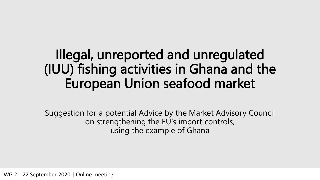## Illegal, unreported and unregulated (IUU) fishing activities in Ghana and the European Union seafood market

Suggestion for a potential Advice by the Market Advisory Council on strengthening the EU's import controls, using the example of Ghana

WG 2 | 22 September 2020 | Online meeting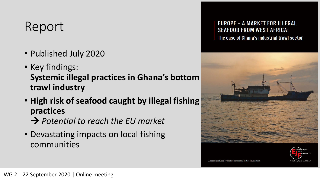### Report

- Published July 2020
- Key findings: **Systemic illegal practices in Ghana's bottom trawl industry**
- **High risk of seafood caught by illegal fishing practices**  *Potential to reach the EU market*
- Devastating impacts on local fishing communities

#### **EUROPE - A MARKET FOR ILLEGAL SEAFOOD FROM WEST AFRICA:**

The case of Ghana's industrial trawl sector





A report produced by the Environmental Justice F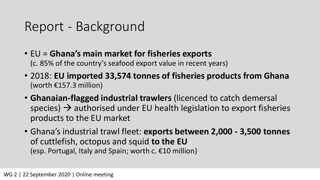#### Report - Background

- EU = **Ghana's main market for fisheries exports** (c. 85% of the country's seafood export value in recent years)
- 2018: **EU imported 33,574 tonnes of fisheries products from Ghana** (worth €157.3 million)
- **Ghanaian-flagged industrial trawlers** (licenced to catch demersal species)  $\rightarrow$  authorised under EU health legislation to export fisheries products to the EU market
- Ghana's industrial trawl fleet: **exports between 2,000 - 3,500 tonnes**  of cuttlefish, octopus and squid **to the EU** (esp. Portugal, Italy and Spain; worth c. €10 million)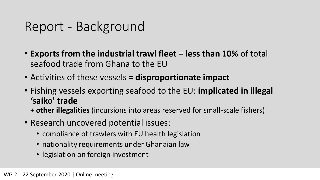#### Report - Background

- **Exports from the industrial trawl fleet** = **less than 10%** of total seafood trade from Ghana to the EU
- Activities of these vessels = **disproportionate impact**
- Fishing vessels exporting seafood to the EU: **implicated in illegal 'saiko' trade**
	- + **other illegalities** (incursions into areas reserved for small-scale fishers)
- Research uncovered potential issues:
	- compliance of trawlers with EU health legislation
	- nationality requirements under Ghanaian law
	- legislation on foreign investment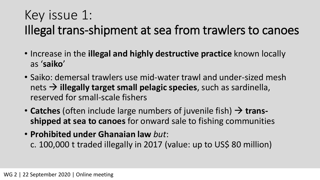### Key issue 1: Illegal trans-shipment at sea from trawlers to canoes

- Increase in the **illegal and highly destructive practice** known locally as '**saiko**'
- Saiko: demersal trawlers use mid-water trawl and under-sized mesh nets  $\rightarrow$  **illegally target small pelagic species**, such as sardinella, reserved for small-scale fishers
- **Catches** (often include large numbers of juvenile fish)  $\rightarrow$  trans**shipped at sea to canoes** for onward sale to fishing communities
- **Prohibited under Ghanaian law** *but*: c. 100,000 t traded illegally in 2017 (value: up to US\$ 80 million)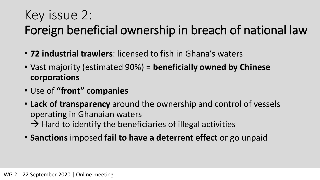### Key issue 2: Foreign beneficial ownership in breach of national law

- **72 industrial trawlers**: licensed to fish in Ghana's waters
- Vast majority (estimated 90%) = **beneficially owned by Chinese corporations**
- Use of **"front" companies**
- **Lack of transparency** around the ownership and control of vessels operating in Ghanaian waters  $\rightarrow$  Hard to identify the beneficiaries of illegal activities
- **Sanctions** imposed **fail to have a deterrent effect** or go unpaid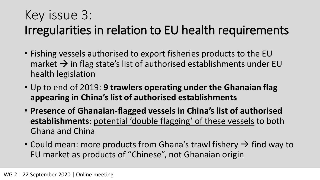## Key issue 3:

#### Irregularities in relation to EU health requirements

- Fishing vessels authorised to export fisheries products to the EU market  $\rightarrow$  in flag state's list of authorised establishments under EU health legislation
- Up to end of 2019: **9 trawlers operating under the Ghanaian flag appearing in China's list of authorised establishments**
- **Presence of Ghanaian-flagged vessels in China's list of authorised establishments**: potential 'double flagging' of these vessels to both Ghana and China
- Could mean: more products from Ghana's trawl fishery  $\rightarrow$  find way to EU market as products of "Chinese", not Ghanaian origin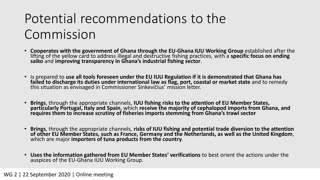# Potential recommendations to the Commission

- **Cooperates with the government of Ghana through the EU-Ghana IUU Working Group** established after the lifting of the yellow card to address illegal and destructive fishing practices, with a **specific focus on ending saiko** and **improving transparency in Ghana's industrial fishing sector**.
- Is prepared to **use all tools foreseen under the EU IUU Regulation if it is demonstrated that Ghana has failed to discharge its duties under international law as flag, port, coastal or market state** and to remedy this situation as envisaged in Commissioner Sinkevičius' mission letter.
- **Brings**, through the appropriate channels, **IUU fishing risks to the attention of EU Member States, particularly Portugal, Italy and Spain**, which **receive the majority of cephalopod imports from Ghana, and requires them to increase scrutiny of fisheries imports stemming from Ghana's trawl sector**
- **Brings**, through the appropriate channels, **risks of IUU fishing and potential trade diversion to the attention of other EU Member States, such as France, Germany and the Netherlands, as well as the United Kingdom**, which are major **importers of tuna products from the country**.
- **Uses the information gathered from EU Member States' verifications** to best orient the actions under the auspices of the EU-Ghana IUU Working Group.

#### WG 2 | 22 September 2020 | Online meeting